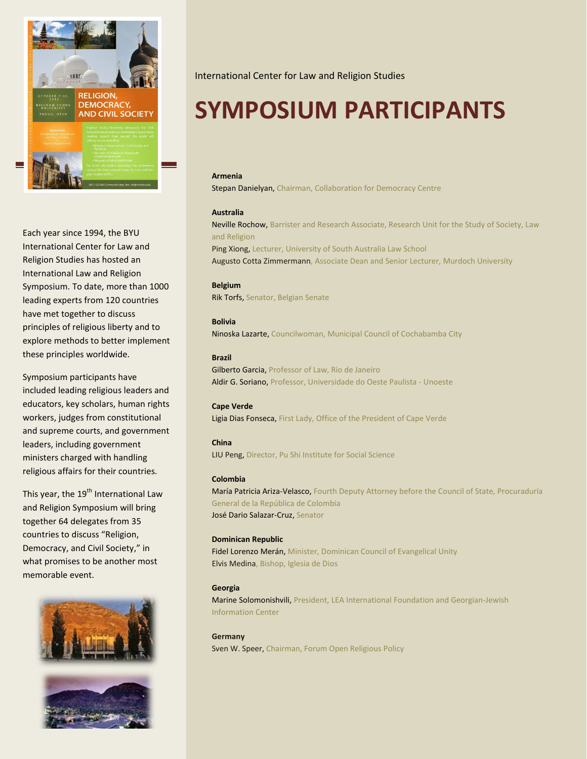

Each year since 1994, the BYU International Center for Law and Religion Studies has hosted an International Law and Religion Symposium. To date, more than 1000 leading experts from 120 countries have met together to discuss principles of religious liberty and to explore methods to better implement these principles worldwide.

Symposium participants have included leading religious leaders and educators, key scholars, human rights workers, judges from constitutional and supreme courts, and government leaders, including government ministers charged with handling religious affairs for their countries.

This year, the  $19<sup>th</sup>$  International Law and Religion Symposium will bring together 64 delegates from 35 countries to discuss "Religion, Democracy, and Civil Society," in what promises to be another most memorable event.





International Center for Law and Religion Studies

# **SYMPOSIUM PARTICIPANTS**

## **Armenia**

Stepan Danielyan, Chairman, Collaboration for Democracy Centre

# **Australia**

Neville Rochow, Barrister and Research Associate, Research Unit for the Study of Society, Law and Religion Ping Xiong, Lecturer, University of South Australia Law School

Augusto Cotta Zimmermann, Associate Dean and Senior Lecturer, Murdoch University

## **Belgium**

Rik Torfs, Senator, Belgian Senate

# **Bolivia**

Ninoska Lazarte, Councilwoman, Municipal Council of Cochabamba City

# **Brazil**

Gilberto Garcia, Professor of Law, Rio de Janeiro Aldir G. Soriano, Professor, Universidade do Oeste Paulista - Unoeste

#### **Cape Verde**

Ligia Dias Fonseca, First Lady, Office of the President of Cape Verde

# **China**

LIU Peng, Director, Pu Shi Institute for Social Science

# **Colombia**

María Patricia Ariza-Velasco, Fourth Deputy Attorney before the Council of State, Procuraduría General de la República de Colombia José Dario Salazar-Cruz, Senator

## **Dominican Republic**

Fidel Lorenzo Merán, Minister, Dominican Council of Evangelical Unity Elvis Medina, Bishop, Iglesia de Dios

#### **Georgia**

Marine Solomonishvili, President, LEA International Foundation and Georgian-Jewish Information Center

## **Germany**

Sven W. Speer, Chairman, Forum Open Religious Policy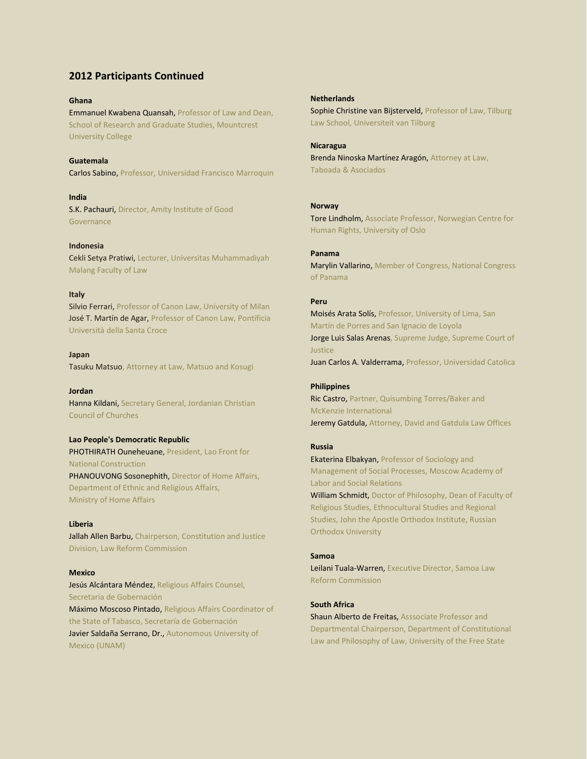# **2012 Participants Continued**

**Ghana** Emmanuel Kwabena Quansah, Professor of Law and Dean, School of Research and Graduate Studies, Mountcrest University College

**Guatemala** Carlos Sabino, Professor, Universidad Francisco Marroquin

**India** S.K. Pachauri, Director, Amity Institute of Good **Governance** 

**Indonesia** Cekli Setya Pratiwi, Lecturer, Universitas Muhammadiyah Malang Faculty of Law

# **Italy**

Silvio Ferrari, Professor of Canon Law, University of Milan José T. Martín de Agar, Professor of Canon Law, Pontificia Università della Santa Croce

**Japan** Tasuku Matsuo, Attorney at Law, Matsuo and Kosugi

#### **Jordan**

Hanna Kildani, Secretary General, Jordanian Christian Council of Churches

#### **Lao People's Democratic Republic**

PHOTHIRATH Ouneheuane, President, Lao Front for National Construction PHANOUVONG Sosonephith, Director of Home Affairs, Department of Ethnic and Religious Affairs, Ministry of Home Affairs

#### **Liberia**

Jallah Allen Barbu, Chairperson, Constitution and Justice Division, Law Reform Commission

## **Mexico**

Jesús Alcántara Méndez, Religious Affairs Counsel, Secretaría de Gobernación Máximo Moscoso Pintado, Religious Affairs Coordinator of the State of Tabasco, Secretaría de Gobernación Javier Saldaña Serrano, Dr., Autonomous University of Mexico (UNAM)

#### **Netherlands**

Sophie Christine van Bijsterveld, Professor of Law, Tilburg Law School, Universiteit van Tilburg

#### **Nicaragua**

Brenda Ninoska Martínez Aragón, Attorney at Law, Taboada & Asociados

## **Norway**

Tore Lindholm, Associate Professor, Norwegian Centre for Human Rights, University of Oslo

#### **Panama**

Marylin Vallarino, Member of Congress, National Congress of Panama

# **Peru**

Moisés Arata Solís, Professor, University of Lima, San Martín de Porres and San Ignacio de Loyola Jorge Luis Salas Arenas, Supreme Judge, Supreme Court of Justice Juan Carlos A. Valderrama, Professor, Universidad Catolica

#### **Philippines**

Ric Castro, Partner, Quisumbing Torres/Baker and McKenzie International Jeremy Gatdula, Attorney, David and Gatdula Law Offices

### **Russia**

Ekaterina Elbakyan, Professor of Sociology and Management of Social Processes, Moscow Academy of Labor and Social Relations

William Schmidt, Doctor of Philosophy, Dean of Faculty of Religious Studies, Ethnocultural Studies and Regional Studies, John the Apostle Orthodox Institute, Russian Orthodox University

# **Samoa**

Leilani Tuala-Warren, Executive Director, Samoa Law Reform Commission

# **South Africa**

Shaun Alberto de Freitas, Asssociate Professor and Departmental Chairperson, Department of Constitutional Law and Philosophy of Law, University of the Free State